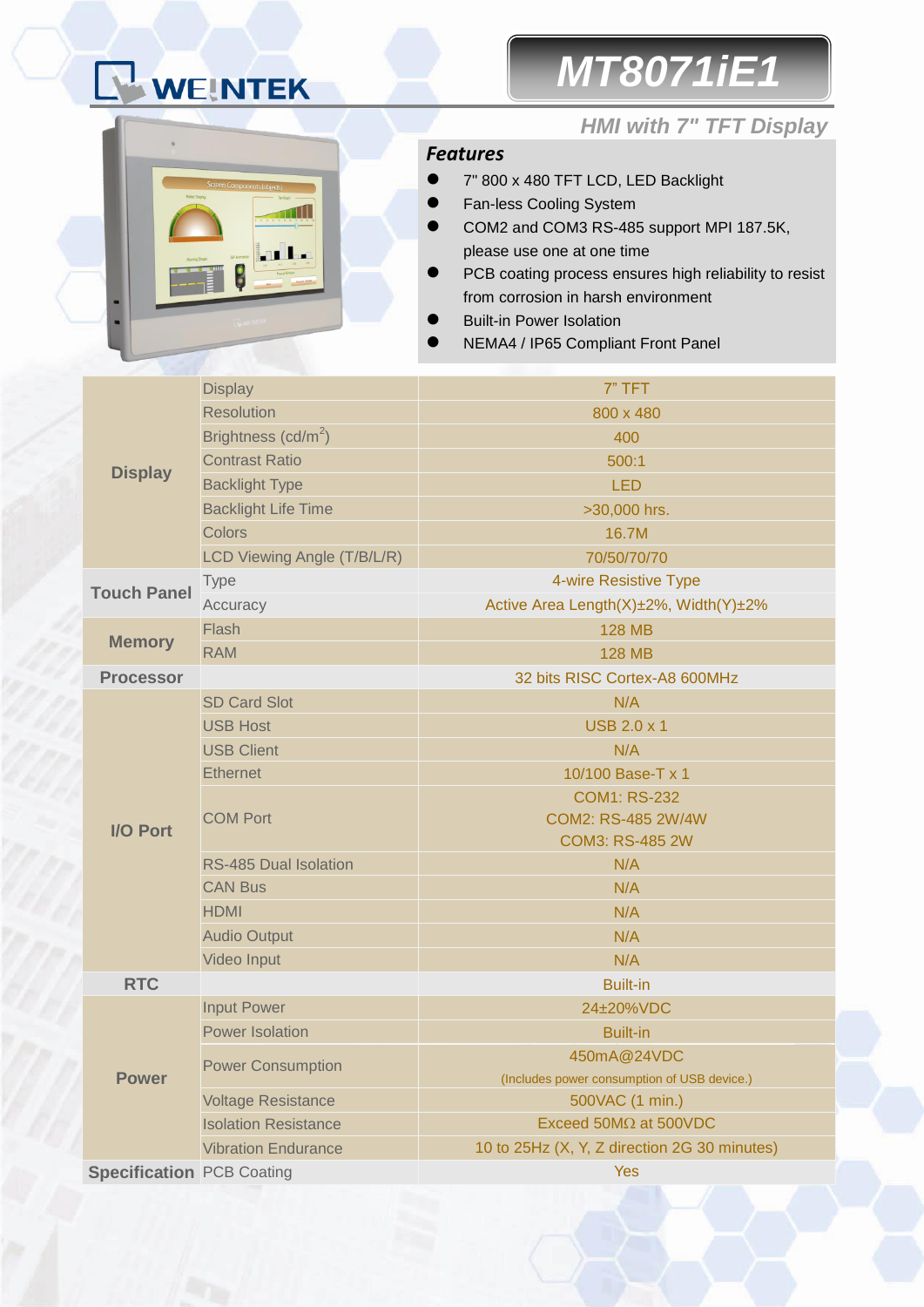# WEINTEK

#### *MT8071iE1*



#### *HMI with 7" TFT Display*

#### *Features*

- 7" 800 x 480 TFT LCD, LED Backlight
- **•** Fan-less Cooling System
- COM2 and COM3 RS-485 support MPI 187.5K, please use one at one time
- PCB coating process ensures high reliability to resist from corrosion in harsh environment
- Built-in Power Isolation
- NEMA4 / IP65 Compliant Front Panel

|                                  | <b>Display</b>                  | 7" TFT                                       |  |  |
|----------------------------------|---------------------------------|----------------------------------------------|--|--|
|                                  | <b>Resolution</b><br>800 x 480  |                                              |  |  |
| <b>Display</b>                   | Brightness (cd/m <sup>2</sup> ) | 400                                          |  |  |
|                                  | <b>Contrast Ratio</b>           | 500:1                                        |  |  |
|                                  | <b>Backlight Type</b>           | <b>LED</b>                                   |  |  |
|                                  | <b>Backlight Life Time</b>      | >30,000 hrs.                                 |  |  |
|                                  | Colors                          | 16.7M                                        |  |  |
|                                  | LCD Viewing Angle (T/B/L/R)     | 70/50/70/70                                  |  |  |
|                                  | Type                            | 4-wire Resistive Type                        |  |  |
| <b>Touch Panel</b>               | Accuracy                        | Active Area Length(X)±2%, Width(Y)±2%        |  |  |
|                                  | Flash                           | <b>128 MB</b>                                |  |  |
| <b>Memory</b>                    | <b>RAM</b>                      | <b>128 MB</b>                                |  |  |
| <b>Processor</b>                 |                                 | 32 bits RISC Cortex-A8 600MHz                |  |  |
|                                  | <b>SD Card Slot</b>             | N/A                                          |  |  |
|                                  | <b>USB Host</b>                 | <b>USB 2.0 x 1</b>                           |  |  |
|                                  | <b>USB Client</b>               | N/A                                          |  |  |
|                                  | <b>Ethernet</b>                 | 10/100 Base-T x 1                            |  |  |
|                                  |                                 | <b>COM1: RS-232</b>                          |  |  |
| I/O Port                         | <b>COM Port</b>                 | COM2: RS-485 2W/4W                           |  |  |
|                                  |                                 | <b>COM3: RS-485 2W</b>                       |  |  |
|                                  | <b>RS-485 Dual Isolation</b>    | N/A                                          |  |  |
|                                  | <b>CAN Bus</b>                  | N/A                                          |  |  |
|                                  | <b>HDMI</b>                     | N/A                                          |  |  |
|                                  | <b>Audio Output</b>             | N/A                                          |  |  |
|                                  | Video Input                     | N/A                                          |  |  |
| <b>RTC</b>                       |                                 | <b>Built-in</b>                              |  |  |
|                                  | <b>Input Power</b>              | 24±20%VDC                                    |  |  |
|                                  | <b>Power Isolation</b>          | <b>Built-in</b>                              |  |  |
|                                  | <b>Power Consumption</b>        | 450mA@24VDC                                  |  |  |
| <b>Power</b>                     |                                 | (Includes power consumption of USB device.)  |  |  |
|                                  | <b>Voltage Resistance</b>       | 500VAC (1 min.)                              |  |  |
|                                  | <b>Isolation Resistance</b>     | Exceed $50M\Omega$ at $500VDC$               |  |  |
|                                  | <b>Vibration Endurance</b>      | 10 to 25Hz (X, Y, Z direction 2G 30 minutes) |  |  |
| <b>Specification PCB Coating</b> |                                 | Yes                                          |  |  |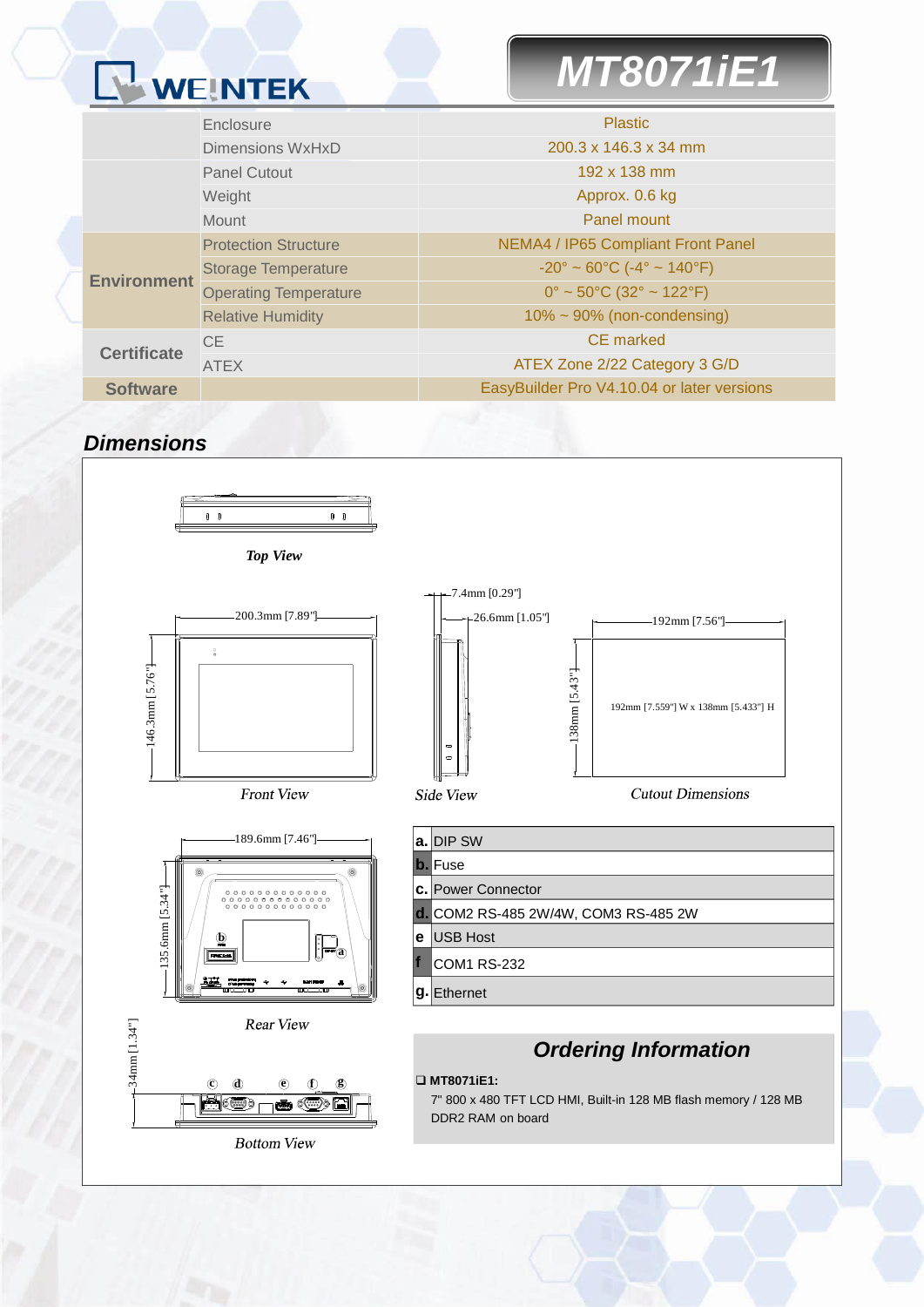### WEINTEK

### *MT8071iE1*

|                    | Enclosure                    | <b>Plastic</b>                                                     |  |
|--------------------|------------------------------|--------------------------------------------------------------------|--|
|                    | Dimensions WxHxD             | 200.3 x 146.3 x 34 mm                                              |  |
|                    | <b>Panel Cutout</b>          | 192 x 138 mm                                                       |  |
|                    | Weight                       | Approx. 0.6 kg                                                     |  |
|                    | <b>Mount</b>                 | Panel mount                                                        |  |
|                    | <b>Protection Structure</b>  | <b>NEMA4 / IP65 Compliant Front Panel</b>                          |  |
| <b>Environment</b> | <b>Storage Temperature</b>   | $-20^{\circ} \sim 60^{\circ}$ C ( $-4^{\circ} \sim 140^{\circ}$ F) |  |
|                    | <b>Operating Temperature</b> | $0^{\circ}$ ~ 50°C (32° ~ 122°F)                                   |  |
|                    | <b>Relative Humidity</b>     | $10\% \sim 90\%$ (non-condensing)                                  |  |
|                    | CE.                          | <b>CE</b> marked                                                   |  |
| <b>Certificate</b> | <b>ATEX</b>                  | ATEX Zone 2/22 Category 3 G/D                                      |  |
| <b>Software</b>    |                              | EasyBuilder Pro V4.10.04 or later versions                         |  |
|                    |                              |                                                                    |  |

#### *Dimensions*